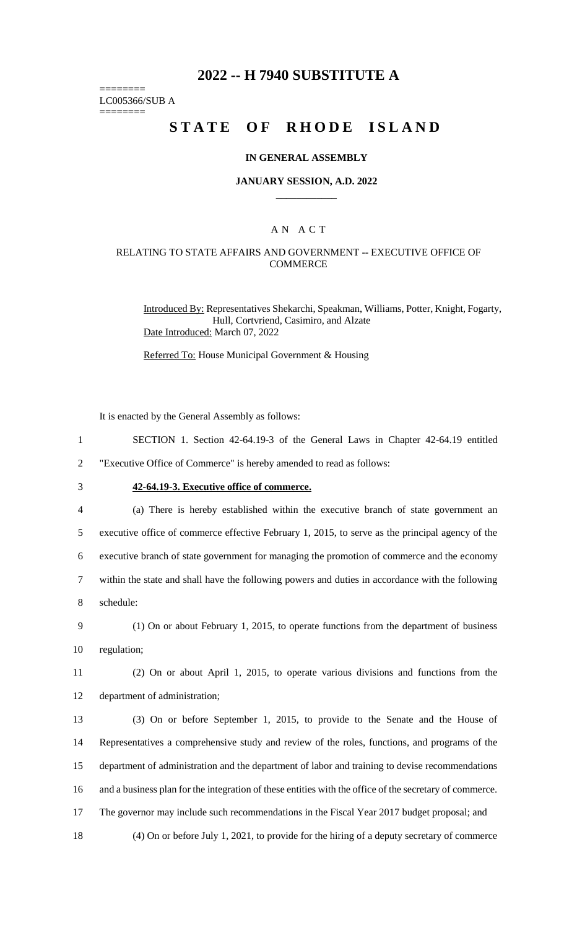# **2022 -- H 7940 SUBSTITUTE A**

======== LC005366/SUB A

========

# **STATE OF RHODE ISLAND**

### **IN GENERAL ASSEMBLY**

### **JANUARY SESSION, A.D. 2022 \_\_\_\_\_\_\_\_\_\_\_\_**

### A N A C T

### RELATING TO STATE AFFAIRS AND GOVERNMENT -- EXECUTIVE OFFICE OF **COMMERCE**

Introduced By: Representatives Shekarchi, Speakman, Williams, Potter, Knight, Fogarty, Hull, Cortvriend, Casimiro, and Alzate Date Introduced: March 07, 2022

Referred To: House Municipal Government & Housing

It is enacted by the General Assembly as follows:

1 SECTION 1. Section 42-64.19-3 of the General Laws in Chapter 42-64.19 entitled

2 "Executive Office of Commerce" is hereby amended to read as follows:

# 3 **42-64.19-3. Executive office of commerce.**

 (a) There is hereby established within the executive branch of state government an executive office of commerce effective February 1, 2015, to serve as the principal agency of the executive branch of state government for managing the promotion of commerce and the economy within the state and shall have the following powers and duties in accordance with the following schedule:

9 (1) On or about February 1, 2015, to operate functions from the department of business 10 regulation;

11 (2) On or about April 1, 2015, to operate various divisions and functions from the 12 department of administration;

 (3) On or before September 1, 2015, to provide to the Senate and the House of Representatives a comprehensive study and review of the roles, functions, and programs of the department of administration and the department of labor and training to devise recommendations and a business plan for the integration of these entities with the office of the secretary of commerce. The governor may include such recommendations in the Fiscal Year 2017 budget proposal; and

18 (4) On or before July 1, 2021, to provide for the hiring of a deputy secretary of commerce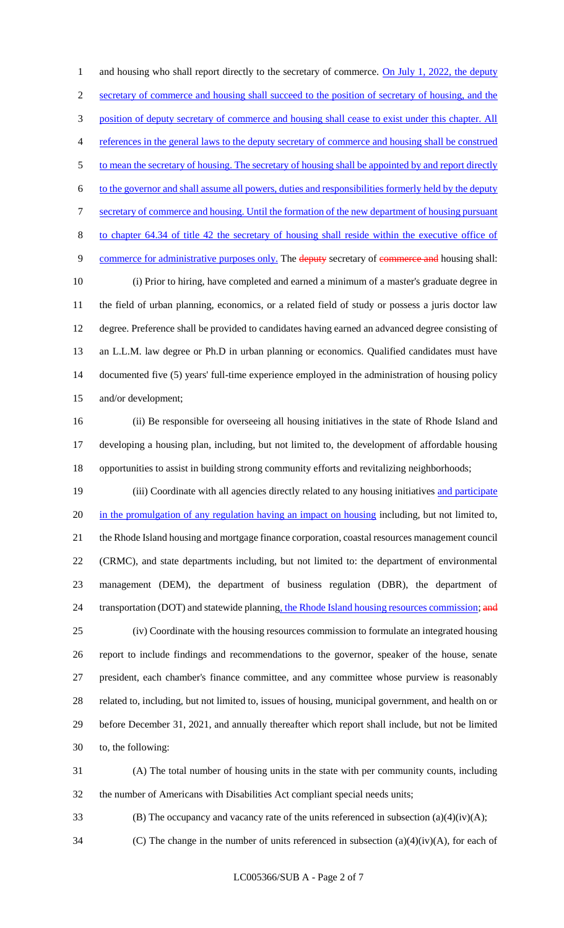1 and housing who shall report directly to the secretary of commerce. On July 1, 2022, the deputy 2 secretary of commerce and housing shall succeed to the position of secretary of housing, and the position of deputy secretary of commerce and housing shall cease to exist under this chapter. All references in the general laws to the deputy secretary of commerce and housing shall be construed 5 to mean the secretary of housing. The secretary of housing shall be appointed by and report directly to the governor and shall assume all powers, duties and responsibilities formerly held by the deputy secretary of commerce and housing. Until the formation of the new department of housing pursuant to chapter 64.34 of title 42 the secretary of housing shall reside within the executive office of 9 commerce for administrative purposes only. The deputy secretary of commerce and housing shall: (i) Prior to hiring, have completed and earned a minimum of a master's graduate degree in the field of urban planning, economics, or a related field of study or possess a juris doctor law degree. Preference shall be provided to candidates having earned an advanced degree consisting of an L.L.M. law degree or Ph.D in urban planning or economics. Qualified candidates must have documented five (5) years' full-time experience employed in the administration of housing policy and/or development;

 (ii) Be responsible for overseeing all housing initiatives in the state of Rhode Island and developing a housing plan, including, but not limited to, the development of affordable housing opportunities to assist in building strong community efforts and revitalizing neighborhoods;

19 (iii) Coordinate with all agencies directly related to any housing initiatives and participate 20 in the promulgation of any regulation having an impact on housing including, but not limited to, the Rhode Island housing and mortgage finance corporation, coastal resources management council (CRMC), and state departments including, but not limited to: the department of environmental management (DEM), the department of business regulation (DBR), the department of 24 transportation (DOT) and statewide planning, the Rhode Island housing resources commission; and (iv) Coordinate with the housing resources commission to formulate an integrated housing report to include findings and recommendations to the governor, speaker of the house, senate president, each chamber's finance committee, and any committee whose purview is reasonably related to, including, but not limited to, issues of housing, municipal government, and health on or before December 31, 2021, and annually thereafter which report shall include, but not be limited to, the following:

 (A) The total number of housing units in the state with per community counts, including the number of Americans with Disabilities Act compliant special needs units;

(B) The occupancy and vacancy rate of the units referenced in subsection (a)(4)(iv)(A);

34 (C) The change in the number of units referenced in subsection  $(a)(4)(iv)(A)$ , for each of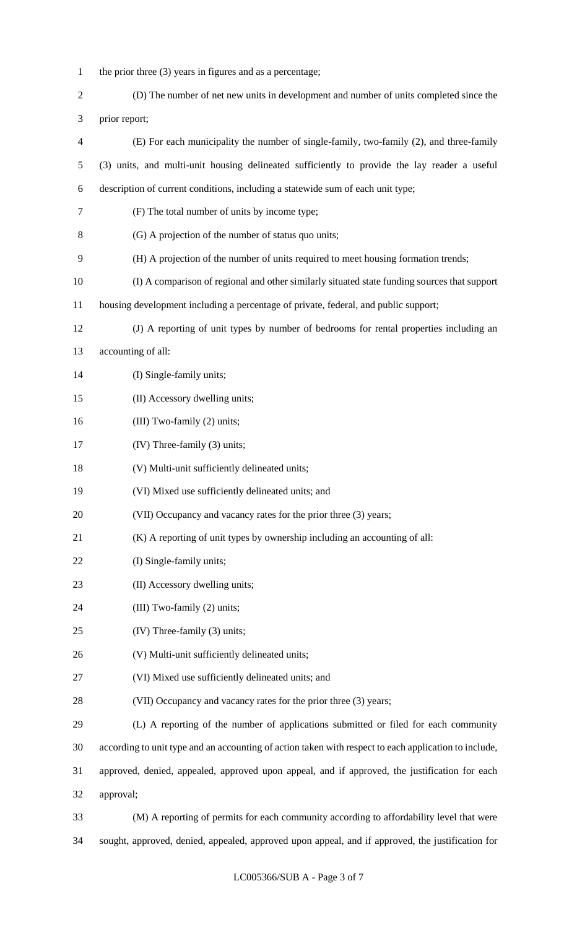- 1 the prior three (3) years in figures and as a percentage;
- (D) The number of net new units in development and number of units completed since the prior report;
- (E) For each municipality the number of single-family, two-family (2), and three-family (3) units, and multi-unit housing delineated sufficiently to provide the lay reader a useful description of current conditions, including a statewide sum of each unit type; (F) The total number of units by income type; (G) A projection of the number of status quo units; (H) A projection of the number of units required to meet housing formation trends; (I) A comparison of regional and other similarly situated state funding sources that support housing development including a percentage of private, federal, and public support; (J) A reporting of unit types by number of bedrooms for rental properties including an accounting of all: 14 (I) Single-family units; (II) Accessory dwelling units; 16 (III) Two-family (2) units; (IV) Three-family (3) units; (V) Multi-unit sufficiently delineated units; (VI) Mixed use sufficiently delineated units; and 20 (VII) Occupancy and vacancy rates for the prior three (3) years; (K) A reporting of unit types by ownership including an accounting of all: 22 (I) Single-family units; 23 (II) Accessory dwelling units; 24 (III) Two-family (2) units; (IV) Three-family (3) units; (V) Multi-unit sufficiently delineated units; (VI) Mixed use sufficiently delineated units; and 28 (VII) Occupancy and vacancy rates for the prior three (3) years; (L) A reporting of the number of applications submitted or filed for each community according to unit type and an accounting of action taken with respect to each application to include, approved, denied, appealed, approved upon appeal, and if approved, the justification for each approval; (M) A reporting of permits for each community according to affordability level that were
- sought, approved, denied, appealed, approved upon appeal, and if approved, the justification for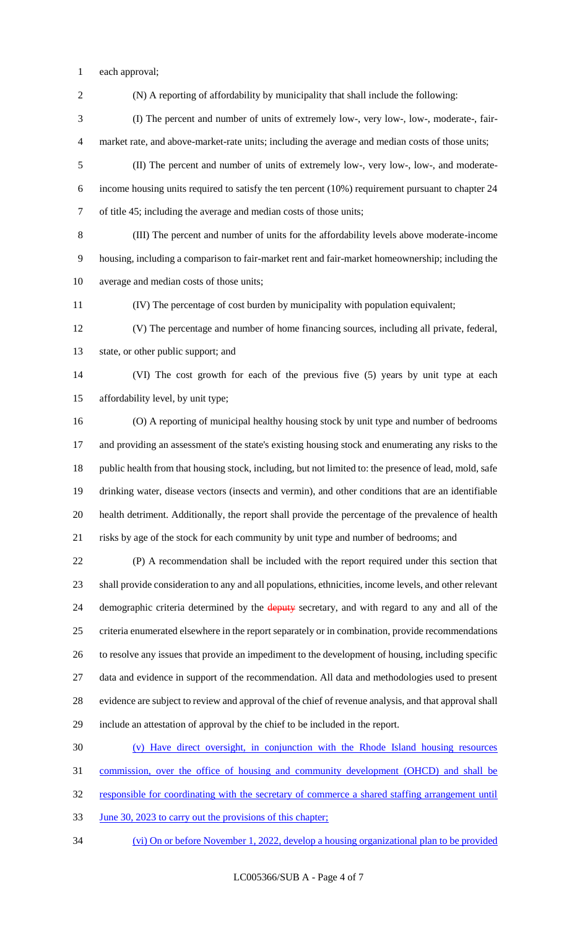each approval;

 (N) A reporting of affordability by municipality that shall include the following: (I) The percent and number of units of extremely low-, very low-, low-, moderate-, fair- market rate, and above-market-rate units; including the average and median costs of those units; (II) The percent and number of units of extremely low-, very low-, low-, and moderate- income housing units required to satisfy the ten percent (10%) requirement pursuant to chapter 24 of title 45; including the average and median costs of those units; (III) The percent and number of units for the affordability levels above moderate-income housing, including a comparison to fair-market rent and fair-market homeownership; including the average and median costs of those units; (IV) The percentage of cost burden by municipality with population equivalent; (V) The percentage and number of home financing sources, including all private, federal, state, or other public support; and (VI) The cost growth for each of the previous five (5) years by unit type at each affordability level, by unit type; (O) A reporting of municipal healthy housing stock by unit type and number of bedrooms and providing an assessment of the state's existing housing stock and enumerating any risks to the 18 public health from that housing stock, including, but not limited to: the presence of lead, mold, safe drinking water, disease vectors (insects and vermin), and other conditions that are an identifiable health detriment. Additionally, the report shall provide the percentage of the prevalence of health risks by age of the stock for each community by unit type and number of bedrooms; and (P) A recommendation shall be included with the report required under this section that shall provide consideration to any and all populations, ethnicities, income levels, and other relevant 24 demographic criteria determined by the deputy secretary, and with regard to any and all of the criteria enumerated elsewhere in the report separately or in combination, provide recommendations to resolve any issues that provide an impediment to the development of housing, including specific data and evidence in support of the recommendation. All data and methodologies used to present evidence are subject to review and approval of the chief of revenue analysis, and that approval shall include an attestation of approval by the chief to be included in the report. (v) Have direct oversight, in conjunction with the Rhode Island housing resources commission, over the office of housing and community development (OHCD) and shall be

responsible for coordinating with the secretary of commerce a shared staffing arrangement until

33 June 30, 2023 to carry out the provisions of this chapter;

(vi) On or before November 1, 2022, develop a housing organizational plan to be provided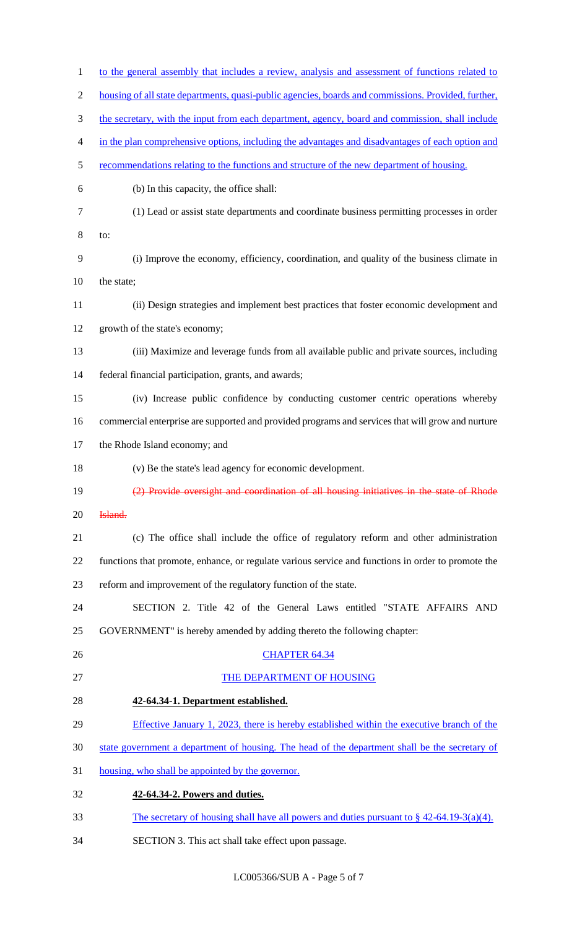| $\mathbf{1}$   | to the general assembly that includes a review, analysis and assessment of functions related to     |
|----------------|-----------------------------------------------------------------------------------------------------|
| $\mathbf{2}$   | housing of all state departments, quasi-public agencies, boards and commissions. Provided, further, |
| 3              | the secretary, with the input from each department, agency, board and commission, shall include     |
| $\overline{4}$ | in the plan comprehensive options, including the advantages and disadvantages of each option and    |
| 5              | recommendations relating to the functions and structure of the new department of housing.           |
| 6              | (b) In this capacity, the office shall:                                                             |
| 7              | (1) Lead or assist state departments and coordinate business permitting processes in order          |
| $8\,$          | to:                                                                                                 |
| $\mathbf{9}$   | (i) Improve the economy, efficiency, coordination, and quality of the business climate in           |
| 10             | the state;                                                                                          |
| 11             | (ii) Design strategies and implement best practices that foster economic development and            |
| 12             | growth of the state's economy;                                                                      |
| 13             | (iii) Maximize and leverage funds from all available public and private sources, including          |
| 14             | federal financial participation, grants, and awards;                                                |
| 15             | (iv) Increase public confidence by conducting customer centric operations whereby                   |
| 16             | commercial enterprise are supported and provided programs and services that will grow and nurture   |
| 17             | the Rhode Island economy; and                                                                       |
| 18             | (v) Be the state's lead agency for economic development.                                            |
| 19             | (2) Provide oversight and coordination of all housing initiatives in the state of Rhode             |
| 20             | Island.                                                                                             |
| 21             | (c) The office shall include the office of regulatory reform and other administration               |
| 22             | functions that promote, enhance, or regulate various service and functions in order to promote the  |
| 23             | reform and improvement of the regulatory function of the state.                                     |
| 24             | SECTION 2. Title 42 of the General Laws entitled "STATE AFFAIRS AND                                 |
| 25             | GOVERNMENT" is hereby amended by adding thereto the following chapter:                              |
| 26             | <b>CHAPTER 64.34</b>                                                                                |
| 27             | THE DEPARTMENT OF HOUSING                                                                           |
| 28             | 42-64.34-1. Department established.                                                                 |
| 29             | Effective January 1, 2023, there is hereby established within the executive branch of the           |
| 30             | state government a department of housing. The head of the department shall be the secretary of      |
| 31             | housing, who shall be appointed by the governor.                                                    |
| 32             | 42-64.34-2. Powers and duties.                                                                      |
| 33             | The secretary of housing shall have all powers and duties pursuant to $\S$ 42-64.19-3(a)(4).        |
| 34             | SECTION 3. This act shall take effect upon passage.                                                 |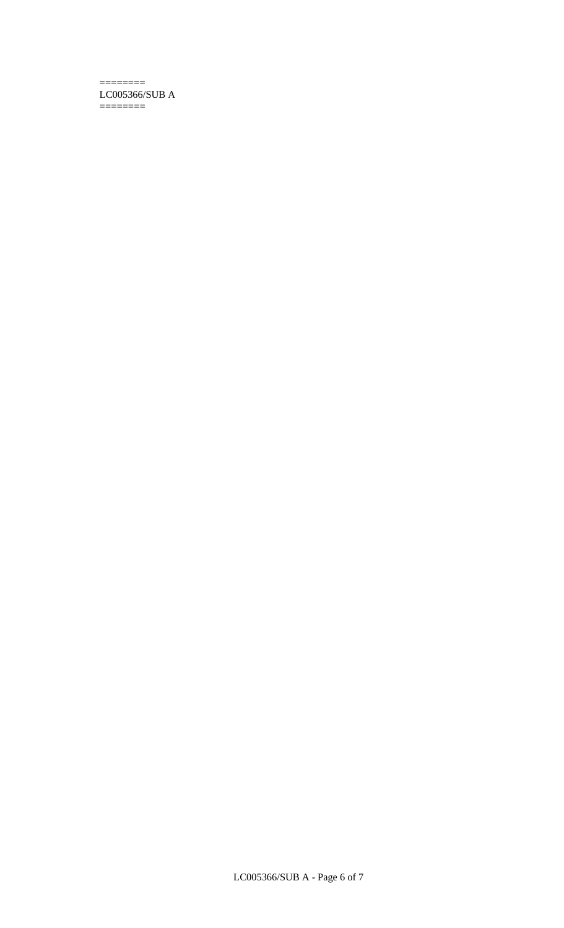#### ======== LC005366/SUB A ========